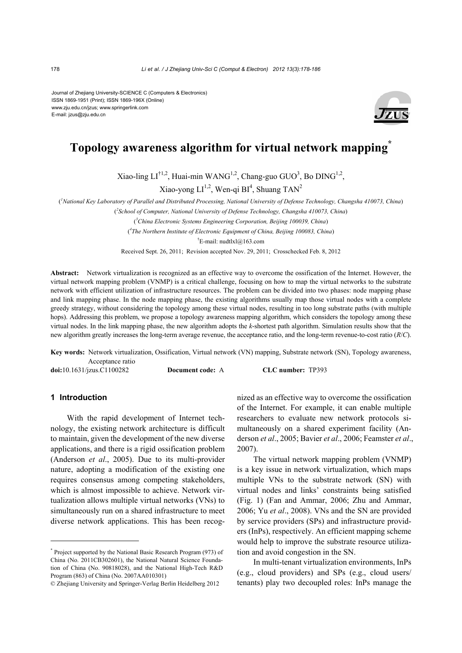Journal of Zhejiang University-SCIENCE C (Computers & Electronics) ISSN 1869-1951 (Print); ISSN 1869-196X (Online) www.zju.edu.cn/jzus; www.springerlink.com E-mail: jzus@zju.edu.cn



# **Topology awareness algorithm for virtual network mapping\***

Xiao-ling  $LI^{\dagger1,2}$ , Huai-min WANG<sup>1,2</sup>, Chang-guo GUO<sup>3</sup>, Bo DING<sup>1,2</sup>,

Xiao-yong  $LI^{1,2}$ , Wen-qi BI<sup>4</sup>, Shuang TAN<sup>2</sup>

( *1 National Key Laboratory of Parallel and Distributed Processing, National University of Defense Technology, Changsha 410073, China*)

( *2 School of Computer, National University of Defense Technology, Changsha 410073, China*)

( *3 China Electronic Systems Engineering Corporation, Beijing 100039, China*)

( *4 The Northern Institute of Electronic Equipment of China, Beijing 100083, China*)

† E-mail: nudtlxl@163.com

Received Sept. 26, 2011; Revision accepted Nov. 29, 2011; Crosschecked Feb. 8, 2012

**Abstract:** Network virtualization is recognized as an effective way to overcome the ossification of the Internet. However, the virtual network mapping problem (VNMP) is a critical challenge, focusing on how to map the virtual networks to the substrate network with efficient utilization of infrastructure resources. The problem can be divided into two phases: node mapping phase and link mapping phase. In the node mapping phase, the existing algorithms usually map those virtual nodes with a complete greedy strategy, without considering the topology among these virtual nodes, resulting in too long substrate paths (with multiple hops). Addressing this problem, we propose a topology awareness mapping algorithm, which considers the topology among these virtual nodes. In the link mapping phase, the new algorithm adopts the *k*-shortest path algorithm. Simulation results show that the new algorithm greatly increases the long-term average revenue, the acceptance ratio, and the long-term revenue-to-cost ratio (*R*/*C*).

**Key words:** Network virtualization, Ossification, Virtual network (VN) mapping, Substrate network (SN), Topology awareness, Acceptance ratio

**doi:**10.1631/jzus.C1100282 **Document code:** A **CLC number:** TP393

# **1 Introduction**

With the rapid development of Internet technology, the existing network architecture is difficult to maintain, given the development of the new diverse applications, and there is a rigid ossification problem (Anderson *et al*., 2005). Due to its multi-provider nature, adopting a modification of the existing one requires consensus among competing stakeholders, which is almost impossible to achieve. Network virtualization allows multiple virtual networks (VNs) to simultaneously run on a shared infrastructure to meet diverse network applications. This has been recognized as an effective way to overcome the ossification of the Internet. For example, it can enable multiple researchers to evaluate new network protocols simultaneously on a shared experiment facility (Anderson *et al*., 2005; Bavier *et al*., 2006; Feamster *et al*., 2007).

The virtual network mapping problem (VNMP) is a key issue in network virtualization, which maps multiple VNs to the substrate network (SN) with virtual nodes and links' constraints being satisfied (Fig. 1) (Fan and Ammar, 2006; Zhu and Ammar, 2006; Yu *et al*., 2008). VNs and the SN are provided by service providers (SPs) and infrastructure providers (InPs), respectively. An efficient mapping scheme would help to improve the substrate resource utilization and avoid congestion in the SN.

In multi-tenant virtualization environments, InPs (e.g., cloud providers) and SPs (e.g., cloud users/ tenants) play two decoupled roles: InPs manage the

<sup>\*</sup> Project supported by the National Basic Research Program (973) of China (No. 2011CB302601), the National Natural Science Foundation of China (No. 90818028), and the National High-Tech R&D Program (863) of China (No. 2007AA010301)

<sup>©</sup> Zheijang University and Springer-Verlag Berlin Heidelberg 2012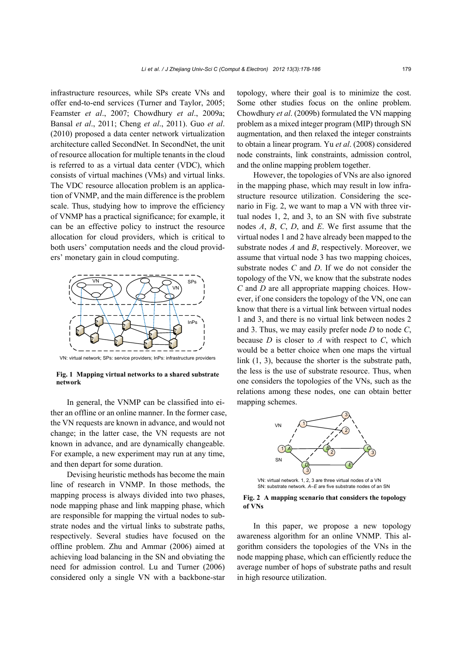infrastructure resources, while SPs create VNs and offer end-to-end services (Turner and Taylor, 2005; Feamster *et al*., 2007; Chowdhury *et al*., 2009a; Bansal *et al*., 2011; Cheng *et al*., 2011). Guo *et al*. (2010) proposed a data center network virtualization architecture called SecondNet. In SecondNet, the unit of resource allocation for multiple tenants in the cloud is referred to as a virtual data center (VDC), which consists of virtual machines (VMs) and virtual links. The VDC resource allocation problem is an application of VNMP, and the main difference is the problem scale. Thus, studying how to improve the efficiency of VNMP has a practical significance; for example, it can be an effective policy to instruct the resource allocation for cloud providers, which is critical to both users' computation needs and the cloud providers' monetary gain in cloud computing.



VN: virtual network; SPs: service providers; InPs: infrastructure providers

**Fig. 1 Mapping virtual networks to a shared substrate network** 

In general, the VNMP can be classified into either an offline or an online manner. In the former case, the VN requests are known in advance, and would not change; in the latter case, the VN requests are not known in advance, and are dynamically changeable. For example, a new experiment may run at any time, and then depart for some duration.

Devising heuristic methods has become the main line of research in VNMP. In those methods, the mapping process is always divided into two phases, node mapping phase and link mapping phase, which are responsible for mapping the virtual nodes to substrate nodes and the virtual links to substrate paths, respectively. Several studies have focused on the offline problem. Zhu and Ammar (2006) aimed at achieving load balancing in the SN and obviating the need for admission control. Lu and Turner (2006) considered only a single VN with a backbone-star

topology, where their goal is to minimize the cost. Some other studies focus on the online problem. Chowdhury *et al*. (2009b) formulated the VN mapping problem as a mixed integer program (MIP) through SN augmentation, and then relaxed the integer constraints to obtain a linear program. Yu *et al*. (2008) considered node constraints, link constraints, admission control, and the online mapping problem together.

However, the topologies of VNs are also ignored in the mapping phase, which may result in low infrastructure resource utilization. Considering the scenario in Fig. 2, we want to map a VN with three virtual nodes 1, 2, and 3, to an SN with five substrate nodes *A*, *B*, *C*, *D*, and *E*. We first assume that the virtual nodes 1 and 2 have already been mapped to the substrate nodes *A* and *B*, respectively. Moreover, we assume that virtual node 3 has two mapping choices, substrate nodes *C* and *D*. If we do not consider the topology of the VN, we know that the substrate nodes *C* and *D* are all appropriate mapping choices. However, if one considers the topology of the VN, one can know that there is a virtual link between virtual nodes 1 and 3, and there is no virtual link between nodes 2 and 3. Thus, we may easily prefer node *D* to node *C*, because *D* is closer to *A* with respect to *C*, which would be a better choice when one maps the virtual link (1, 3), because the shorter is the substrate path, the less is the use of substrate resource. Thus, when one considers the topologies of the VNs, such as the relations among these nodes, one can obtain better mapping schemes.



VN: virtual network. 1, 2, 3 are three virtual nodes of a VN SN: substrate network. *A*–*E* are five substrate nodes of an SN

**Fig. 2 A mapping scenario that considers the topology of VNs** 

In this paper, we propose a new topology awareness algorithm for an online VNMP. This algorithm considers the topologies of the VNs in the node mapping phase, which can efficiently reduce the average number of hops of substrate paths and result in high resource utilization.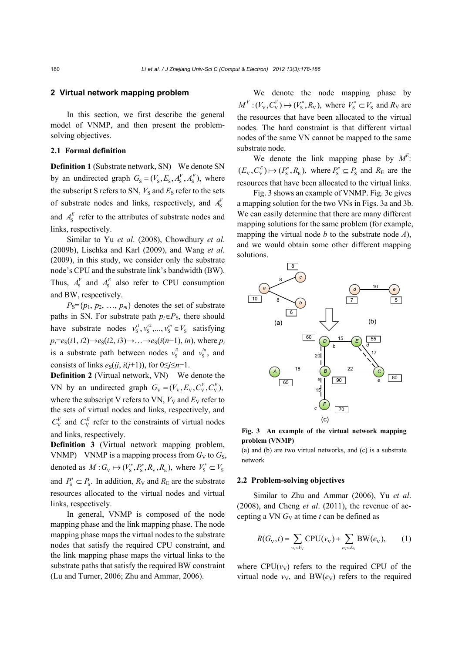## **2 Virtual network mapping problem**

In this section, we first describe the general model of VNMP, and then present the problemsolving objectives.

# **2.1 Formal definition**

**Definition 1 (Substrate network, SN) We denote SN** by an undirected graph  $G_s = (V_s, E_s, A_s^V, A_s^E)$ , where the subscript S refers to SN,  $V<sub>S</sub>$  and  $E<sub>S</sub>$  refer to the sets of substrate nodes and links, respectively, and  $A_{\rm s}^{V}$ and  $A_{\rm s}^E$  refer to the attributes of substrate nodes and links, respectively.

Similar to Yu *et al*. (2008), Chowdhury *et al*. (2009b), Lischka and Karl (2009), and Wang *et al*. (2009), in this study, we consider only the substrate node's CPU and the substrate link's bandwidth (BW). Thus,  $A_s^V$  and  $A_s^E$  also refer to CPU consumption and BW, respectively.

 $P_S = \{p_1, p_2, \ldots, p_m\}$  denotes the set of substrate paths in SN. For substrate path  $p_i \in P_S$ , there should have substrate nodes  $v_s^{i_1}, v_s^{i_2}, \dots, v_s^{i_n} \in V_s$  satisfying  $p_i = e_S(i1, i2) \rightarrow e_S(i2, i3) \rightarrow \ldots \rightarrow e_S(i(n-1), in)$ , where  $p_i$ is a substrate path between nodes  $v_s^{i_1}$  and  $v_s^{i_2}$ , and consists of links  $e_S(i, i(i+1))$ , for  $0 \le i \le n-1$ .

**Definition 2** (Virtual network, VN) We denote the VN by an undirected graph  $G_v = (V_v, E_v, C_v^V, C_v^E)$ , where the subscript V refers to VN,  $V_V$  and  $E_V$  refer to the sets of virtual nodes and links, respectively, and  $C_V^V$  and  $C_V^E$  refer to the constraints of virtual nodes and links, respectively.

**Definition 3** (Virtual network mapping problem, VNMP) VNMP is a mapping process from  $G_V$  to  $G_S$ , denoted as  $M: G_V \mapsto (V_s^*, P_s^*, R_V, R_E)$ , where  $V_s^* \subset V_s$ and  $P_s^* \subset P_s$ . In addition,  $R_V$  and  $R_E$  are the substrate resources allocated to the virtual nodes and virtual links, respectively.

In general, VNMP is composed of the node mapping phase and the link mapping phase. The node mapping phase maps the virtual nodes to the substrate nodes that satisfy the required CPU constraint, and the link mapping phase maps the virtual links to the substrate paths that satisfy the required BW constraint (Lu and Turner, 2006; Zhu and Ammar, 2006).

We denote the node mapping phase by  $M^V$ :  $(V_v, C_v^V) \mapsto (V_s^*, R_v)$ , where  $V_s^* \subset V_s$  and  $R_V$  are the resources that have been allocated to the virtual nodes. The hard constraint is that different virtual nodes of the same VN cannot be mapped to the same substrate node.

We denote the link mapping phase by  $M^E$ :  $(E_v, C_v^E) \mapsto (P_s^*, R_E)$ , where  $P_s^* \subseteq P_s$  and  $R_E$  are the resources that have been allocated to the virtual links.

Fig. 3 shows an example of VNMP. Fig. 3c gives a mapping solution for the two VNs in Figs. 3a and 3b. We can easily determine that there are many different mapping solutions for the same problem (for example, mapping the virtual node *b* to the substrate node *A*), and we would obtain some other different mapping solutions.



**Fig. 3 An example of the virtual network mapping problem (VNMP)** 

(a) and (b) are two virtual networks, and (c) is a substrate network

#### **2.2 Problem-solving objectives**

Similar to Zhu and Ammar (2006), Yu *et al*. (2008), and Cheng *et al*. (2011), the revenue of accepting a VN *G*V at time *t* can be defined as

$$
R(G_{V},t) = \sum_{v_{V} \in V_{V}} CPU(v_{V}) + \sum_{e_{V} \in E_{V}} BW(e_{V}), \qquad (1)
$$

where  $CPU(v<sub>V</sub>)$  refers to the required CPU of the virtual node  $v<sub>V</sub>$ , and BW( $e<sub>V</sub>$ ) refers to the required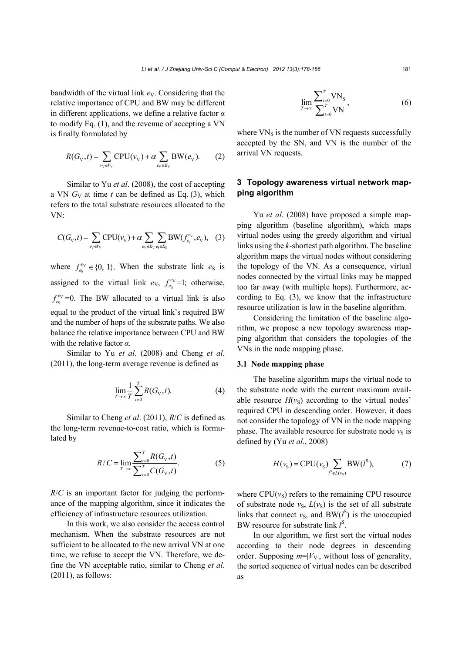bandwidth of the virtual link  $e<sub>V</sub>$ . Considering that the relative importance of CPU and BW may be different in different applications, we define a relative factor *α* to modify Eq. (1), and the revenue of accepting a VN is finally formulated by

$$
R(G_{\rm V}, t) = \sum_{v_{\rm V} \in V_{\rm V}} \text{CPU}(v_{\rm V}) + \alpha \sum_{e_{\rm V} \in E_{\rm V}} \text{BW}(e_{\rm V}).\tag{2}
$$

Similar to Yu *et al*. (2008), the cost of accepting a VN  $G_V$  at time  $t$  can be defined as Eq. (3), which refers to the total substrate resources allocated to the VN:

$$
C(G_{V},t) = \sum_{v_{V} \in V_{V}} CPU(v_{V}) + \alpha \sum_{e_{V} \in E_{V}} \sum_{e_{S} \in E_{S}} BW(f_{e_{S}}^{e_{V}}, e_{V}),
$$
 (3)

where  $f_{e_S}^{e_V} \in \{0, 1\}$ . When the substrate link  $e_S$  is assigned to the virtual link  $e_V$ ,  $f_{e_S}^{e_V}$ =1; otherwise,  $f_{e_S}^{e_V}$  =0. The BW allocated to a virtual link is also equal to the product of the virtual link's required BW and the number of hops of the substrate paths. We also balance the relative importance between CPU and BW with the relative factor *α*.

Similar to Yu *et al*. (2008) and Cheng *et al*. (2011), the long-term average revenue is defined as

$$
\lim_{T \to \infty} \frac{1}{T} \sum_{t=0}^{T} R(G_{\mathcal{V}}, t).
$$
 (4)

Similar to Cheng *et al*. (2011), *R*/*C* is defined as the long-term revenue-to-cost ratio, which is formulated by

$$
R/C = \lim_{T \to \infty} \frac{\sum_{t=0}^{T} R(G_{V}, t)}{\sum_{t=0}^{T} C(G_{V}, t)}.
$$
 (5)

*R*/*C* is an important factor for judging the performance of the mapping algorithm, since it indicates the efficiency of infrastructure resources utilization.

In this work, we also consider the access control mechanism. When the substrate resources are not sufficient to be allocated to the new arrival VN at one time, we refuse to accept the VN. Therefore, we define the VN acceptable ratio, similar to Cheng *et al*.  $(2011)$ , as follows:

$$
\lim_{T \to \infty} \frac{\sum_{t=0}^{T} \text{VN}_s}{\sum_{t=0}^{T} \text{VN}},\tag{6}
$$

where  $VN_s$  is the number of  $VN$  requests successfully accepted by the SN, and VN is the number of the arrival VN requests.

# **3 Topology awareness virtual network mapping algorithm**

Yu *et al*. (2008) have proposed a simple mapping algorithm (baseline algorithm), which maps virtual nodes using the greedy algorithm and virtual links using the *k*-shortest path algorithm. The baseline algorithm maps the virtual nodes without considering the topology of the VN. As a consequence, virtual nodes connected by the virtual links may be mapped too far away (with multiple hops). Furthermore, according to Eq. (3), we know that the infrastructure resource utilization is low in the baseline algorithm.

Considering the limitation of the baseline algorithm, we propose a new topology awareness mapping algorithm that considers the topologies of the VNs in the node mapping phase.

## **3.1 Node mapping phase**

The baseline algorithm maps the virtual node to the substrate node with the current maximum available resource  $H(v<sub>S</sub>)$  according to the virtual nodes' required CPU in descending order. However, it does not consider the topology of VN in the node mapping phase. The available resource for substrate node  $v<sub>S</sub>$  is defined by (Yu *et al*., 2008)

$$
H(vS) = CPU(vS) \sum_{lS \in L(vS)} BW(lS),
$$
 (7)

where  $CPU(v<sub>S</sub>)$  refers to the remaining CPU resource of substrate node  $v_S$ ,  $L(v_S)$  is the set of all substrate links that connect  $v<sub>S</sub>$ , and BW( $l<sup>S</sup>$ ) is the unoccupied BW resource for substrate link *l* S .

In our algorithm, we first sort the virtual nodes according to their node degrees in descending order. Supposing  $m=|V_V|$ , without loss of generality, the sorted sequence of virtual nodes can be described as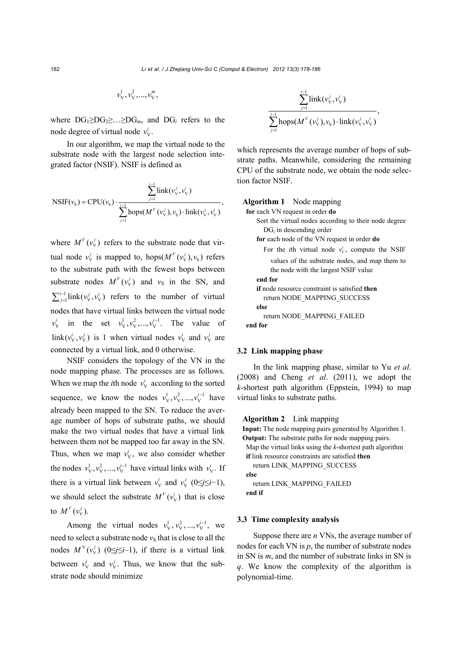$$
v_{\rm V}^1, v_{\rm V}^2, ..., v_{\rm V}^m,
$$

where  $DG_1 \geq DG_2 \geq ... \geq DG_m$ , and  $DG_i$  refers to the node degree of virtual node  $v_v^i$ .

In our algorithm, we map the virtual node to the substrate node with the largest node selection integrated factor (NSIF). NSIF is defined as

$$
\text{NSIF}(v_{\text{s}}) = \text{CPU}(v_{\text{s}}) \cdot \frac{\sum_{j=1}^{i-1} \text{link}(v_{\text{v}}^{j}, v_{\text{v}}^{i})}{\sum_{j=1}^{i-1} \text{hops}(M^{V}(v_{\text{v}}^{j}), v_{\text{s}}) \cdot \text{link}(v_{\text{v}}^{j}, v_{\text{v}}^{i})},
$$

where  $M^{V}(v_{V}^{j})$  refers to the substrate node that virtual node  $v_v^j$  is mapped to, hops( $M^V(v_v^j), v_s$ ) refers to the substrate path with the fewest hops between substrate nodes  $M^{V}(v_v^j)$  and  $v_s$  in the SN, and  $\sum_{j=1}^{i-1}$ link( $v_v^j, v_v^i$ ) refers to the number of virtual nodes that have virtual links between the virtual node  $v_V^i$  in the set  $v_V^1, v_V^2, ..., v_V^{i-1}$ . The value of  $\lim_{V} (v_v^i, v_v^j)$  is 1 when virtual nodes  $v_v^i$  and  $v_v^j$  are connected by a virtual link, and 0 otherwise.

NSIF considers the topology of the VN in the node mapping phase. The processes are as follows. When we map the *i*th node  $v_v^i$  according to the sorted sequence, we know the nodes  $v_v^1, v_v^2, ..., v_v^{i-1}$  have already been mapped to the SN. To reduce the average number of hops of substrate paths, we should make the two virtual nodes that have a virtual link between them not be mapped too far away in the SN. Thus, when we map  $v_v^i$ , we also consider whether the nodes  $v_V^1, v_V^2, ..., v_V^{i-1}$  have virtual links with  $v_V^i$ . If there is a virtual link between  $v_v^i$  and  $v_v^j$  (0≤*j*≤*i*-1), we should select the substrate  $M^{V}(v_{V}^{i})$  that is close to  $M^{V}(v_{V}^{j}).$ 

Among the virtual nodes  $v_V^1, v_V^2, ..., v_V^{i-1}$ , we need to select a substrate node  $v<sub>S</sub>$  that is close to all the nodes  $M^V(v_v^j)$  (0≤*j*≤*i*-1), if there is a virtual link between  $v_v^i$  and  $v_v^j$ . Thus, we know that the substrate node should minimize

$$
\frac{\sum_{j=1}^{i-1} \text{link}(v_{\mathrm{V}}^j, v_{\mathrm{V}}^i)}{\sum_{j=1}^{i-1} \text{hops}(M^V(v_{\mathrm{V}}^j, v_{\mathrm{S}}^i) \cdot \text{link}(v_{\mathrm{V}}^j, v_{\mathrm{V}}^i)},
$$

which represents the average number of hops of substrate paths. Meanwhile, considering the remaining CPU of the substrate node, we obtain the node selection factor NSIF.

#### **Algorithm 1** Node mapping

 **for** each VN request in order **do** Sort the virtual nodes according to their node degree DG*i* in descending order **for** each node of the VN request in order **do**  For the *i*th virtual node  $v_y^i$ , compute the NSIF values of the substrate nodes, and map them to the node with the largest NSIF value **end for if** node resource constraint is satisfied **then** return NODE\_MAPPING\_SUCCESS **else** return NODE\_MAPPING\_FAILED **end for**

# **3.2 Link mapping phase**

In the link mapping phase, similar to Yu *et al*. (2008) and Cheng *et al*. (2011), we adopt the *k*-shortest path algorithm (Eppstein, 1994) to map virtual links to substrate paths.

## **Algorithm 2** Link mapping

**Input:** The node mapping pairs generated by Algorithm 1. **Output:** The substrate paths for node mapping pairs. Map the virtual links using the *k*-shortest path algorithm **if** link resource constraints are satisfied **then** return LINK\_MAPPING\_SUCCESS **else**  return LINK\_MAPPING\_FAILED **end if** 

#### **3.3 Time complexity analysis**

Suppose there are *n* VNs, the average number of nodes for each VN is *p*, the number of substrate nodes in SN is *m*, and the number of substrate links in SN is *q*. We know the complexity of the algorithm is polynomial-time.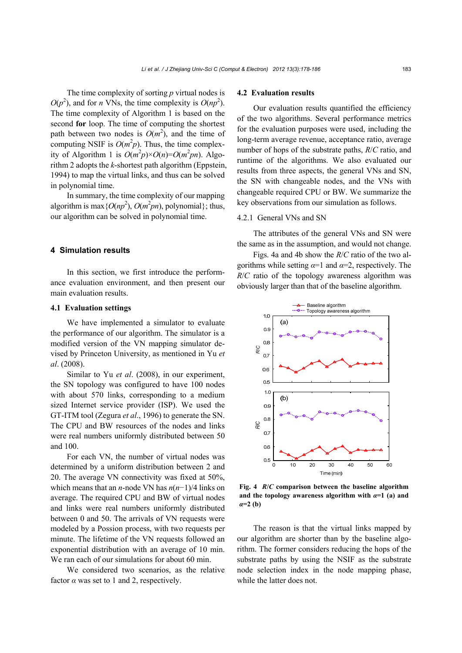The time complexity of sorting *p* virtual nodes is  $O(p^2)$ , and for *n* VNs, the time complexity is  $O(np^2)$ . The time complexity of Algorithm 1 is based on the second **for** loop. The time of computing the shortest path between two nodes is  $O(m^2)$ , and the time of computing NSIF is  $O(m^2p)$ . Thus, the time complexity of Algorithm 1 is  $O(m^2p) \times O(n) = O(m^2pn)$ . Algorithm 2 adopts the *k*-shortest path algorithm (Eppstein, 1994) to map the virtual links, and thus can be solved in polynomial time.

In summary, the time complexity of our mapping algorithm is max { $O(np^2)$ ,  $O(m^2pn)$ , polynomial}; thus, our algorithm can be solved in polynomial time.

## **4 Simulation results**

In this section, we first introduce the performance evaluation environment, and then present our main evaluation results.

## **4.1 Evaluation settings**

We have implemented a simulator to evaluate the performance of our algorithm. The simulator is a modified version of the VN mapping simulator devised by Princeton University, as mentioned in Yu *et al*. (2008).

Similar to Yu *et al*. (2008), in our experiment, the SN topology was configured to have 100 nodes with about 570 links, corresponding to a medium sized Internet service provider (ISP). We used the GT-ITM tool (Zegura *et al*., 1996) to generate the SN. The CPU and BW resources of the nodes and links were real numbers uniformly distributed between 50 and 100.

For each VN, the number of virtual nodes was determined by a uniform distribution between 2 and 20. The average VN connectivity was fixed at 50%, which means that an *n*-node VN has *n*(*n*−1)/4 links on average. The required CPU and BW of virtual nodes and links were real numbers uniformly distributed between 0 and 50. The arrivals of VN requests were modeled by a Possion process, with two requests per minute. The lifetime of the VN requests followed an exponential distribution with an average of 10 min. We ran each of our simulations for about 60 min.

We considered two scenarios, as the relative factor  $\alpha$  was set to 1 and 2, respectively.

#### **4.2 Evaluation results**

Our evaluation results quantified the efficiency of the two algorithms. Several performance metrics for the evaluation purposes were used, including the long-term average revenue, acceptance ratio, average number of hops of the substrate paths, *R*/*C* ratio, and runtime of the algorithms. We also evaluated our results from three aspects, the general VNs and SN, the SN with changeable nodes, and the VNs with changeable required CPU or BW. We summarize the key observations from our simulation as follows.

## 4.2.1 General VNs and SN

The attributes of the general VNs and SN were the same as in the assumption, and would not change.

Figs. 4a and 4b show the *R*/*C* ratio of the two algorithms while setting  $\alpha=1$  and  $\alpha=2$ , respectively. The *R*/*C* ratio of the topology awareness algorithm was obviously larger than that of the baseline algorithm.



**Fig. 4** *R***/***C* **comparison between the baseline algorithm**  and the topology awareness algorithm with  $\alpha=1$  (a) and *α***=2 (b)** 

The reason is that the virtual links mapped by our algorithm are shorter than by the baseline algorithm. The former considers reducing the hops of the substrate paths by using the NSIF as the substrate node selection index in the node mapping phase, while the latter does not.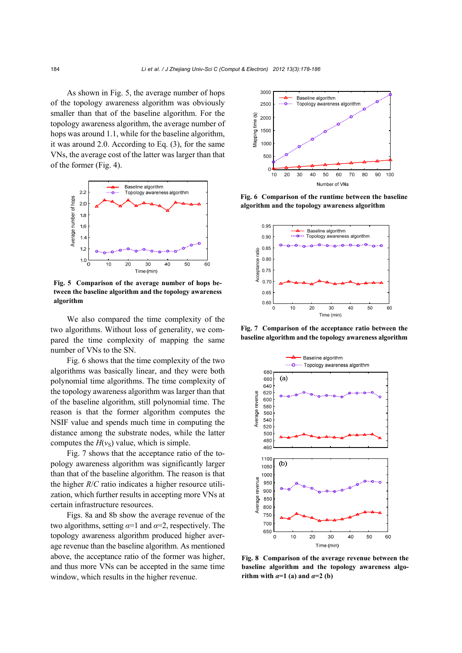As shown in Fig. 5, the average number of hops of the topology awareness algorithm was obviously smaller than that of the baseline algorithm. For the topology awareness algorithm, the average number of hops was around 1.1, while for the baseline algorithm, it was around 2.0. According to Eq. (3), for the same VNs, the average cost of the latter was larger than that of the former (Fig. 4).



**Fig. 5 Comparison of the average number of hops between the baseline algorithm and the topology awareness algorithm** 

We also compared the time complexity of the two algorithms. Without loss of generality, we compared the time complexity of mapping the same number of VNs to the SN.

Fig. 6 shows that the time complexity of the two algorithms was basically linear, and they were both polynomial time algorithms. The time complexity of the topology awareness algorithm was larger than that of the baseline algorithm, still polynomial time. The reason is that the former algorithm computes the NSIF value and spends much time in computing the distance among the substrate nodes, while the latter computes the  $H(v<sub>S</sub>)$  value, which is simple.

Fig. 7 shows that the acceptance ratio of the topology awareness algorithm was significantly larger than that of the baseline algorithm. The reason is that the higher *R*/*C* ratio indicates a higher resource utilization, which further results in accepting more VNs at certain infrastructure resources.

Figs. 8a and 8b show the average revenue of the two algorithms, setting  $\alpha=1$  and  $\alpha=2$ , respectively. The topology awareness algorithm produced higher average revenue than the baseline algorithm. As mentioned above, the acceptance ratio of the former was higher, and thus more VNs can be accepted in the same time window, which results in the higher revenue.



**Fig. 6 Comparison of the runtime between the baseline algorithm and the topology awareness algorithm** 



**Fig. 7 Comparison of the acceptance ratio between the baseline algorithm and the topology awareness algorithm**



**Fig. 8 Comparison of the average revenue between the baseline algorithm and the topology awareness algorithm with**  $\alpha=1$  (a) and  $\alpha=2$  (b)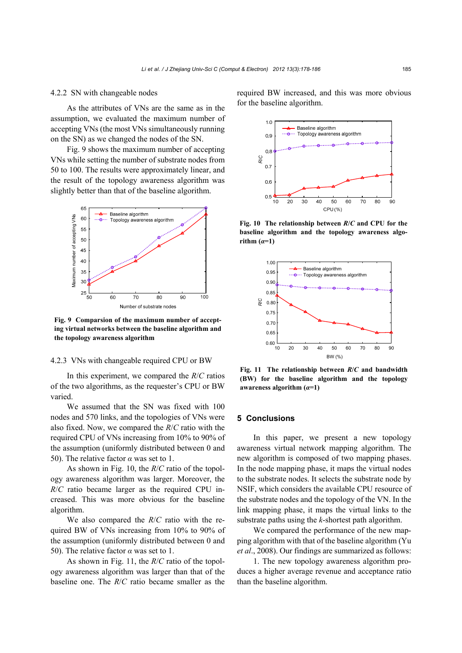## 4.2.2 SN with changeable nodes

As the attributes of VNs are the same as in the assumption, we evaluated the maximum number of accepting VNs (the most VNs simultaneously running on the SN) as we changed the nodes of the SN.

Fig. 9 shows the maximum number of accepting VNs while setting the number of substrate nodes from 50 to 100. The results were approximately linear, and the result of the topology awareness algorithm was slightly better than that of the baseline algorithm.



**Fig. 9 Comparsion of the maximum number of accepting virtual networks between the baseline algorithm and the topology awareness algorithm** 

## 4.2.3 VNs with changeable required CPU or BW

In this experiment, we compared the *R*/*C* ratios of the two algorithms, as the requester's CPU or BW varied.

We assumed that the SN was fixed with 100 nodes and 570 links, and the topologies of VNs were also fixed. Now, we compared the *R*/*C* ratio with the required CPU of VNs increasing from 10% to 90% of the assumption (uniformly distributed between 0 and 50). The relative factor *α* was set to 1.

As shown in Fig. 10, the *R*/*C* ratio of the topology awareness algorithm was larger. Moreover, the *R*/*C* ratio became larger as the required CPU increased. This was more obvious for the baseline algorithm.

We also compared the *R*/*C* ratio with the required BW of VNs increasing from 10% to 90% of the assumption (uniformly distributed between 0 and 50). The relative factor  $\alpha$  was set to 1.

As shown in Fig. 11, the *R*/*C* ratio of the topology awareness algorithm was larger than that of the baseline one. The *R*/*C* ratio became smaller as the

required BW increased, and this was more obvious for the baseline algorithm.



**Fig. 10 The relationship between** *R***/***C* **and CPU for the baseline algorithm and the topology awareness algo** $rithm (a=1)$ 



**Fig. 11 The relationship between** *R***/***C* **and bandwidth (BW) for the baseline algorithm and the topology awareness algorithm (***α***=1)** 

## **5 Conclusions**

In this paper, we present a new topology awareness virtual network mapping algorithm. The new algorithm is composed of two mapping phases. In the node mapping phase, it maps the virtual nodes to the substrate nodes. It selects the substrate node by NSIF, which considers the available CPU resource of the substrate nodes and the topology of the VN. In the link mapping phase, it maps the virtual links to the substrate paths using the *k*-shortest path algorithm.

We compared the performance of the new mapping algorithm with that of the baseline algorithm (Yu *et al*., 2008). Our findings are summarized as follows:

1. The new topology awareness algorithm produces a higher average revenue and acceptance ratio than the baseline algorithm.